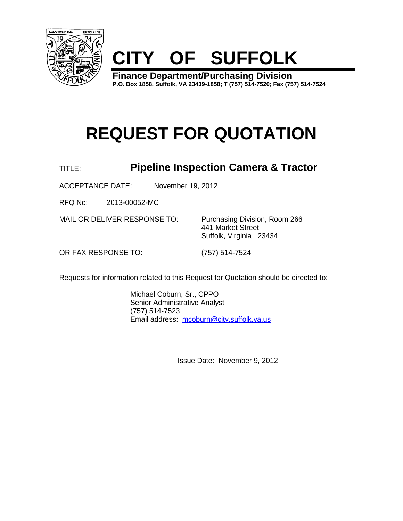



**Finance Department/Purchasing Division P.O. Box 1858, Suffolk, VA 23439-1858; T (757) 514-7520; Fax (757) 514-7524**

# **REQUEST FOR QUOTATION**

# TITLE: **Pipeline Inspection Camera & Tractor**

ACCEPTANCE DATE: November 19, 2012

RFQ No: 2013-00052-MC

MAIL OR DELIVER RESPONSE TO: Purchasing Division, Room 266

441 Market Street Suffolk, Virginia 23434

OR FAX RESPONSE TO: (757) 514-7524

Requests for information related to this Request for Quotation should be directed to:

Michael Coburn, Sr., CPPO Senior Administrative Analyst (757) 514-7523 Email address: [mcoburn@city.suffolk.va.us](mailto:mcoburn@city.suffolk.va.us)

Issue Date: November 9, 2012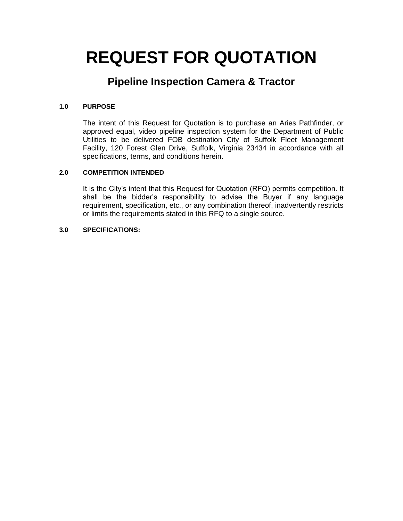# **REQUEST FOR QUOTATION**

# **Pipeline Inspection Camera & Tractor**

## **1.0 PURPOSE**

The intent of this Request for Quotation is to purchase an Aries Pathfinder, or approved equal, video pipeline inspection system for the Department of Public Utilities to be delivered FOB destination City of Suffolk Fleet Management Facility, 120 Forest Glen Drive, Suffolk, Virginia 23434 in accordance with all specifications, terms, and conditions herein.

## **2.0 COMPETITION INTENDED**

It is the City's intent that this Request for Quotation (RFQ) permits competition. It shall be the bidder's responsibility to advise the Buyer if any language requirement, specification, etc., or any combination thereof, inadvertently restricts or limits the requirements stated in this RFQ to a single source.

### **3.0 SPECIFICATIONS:**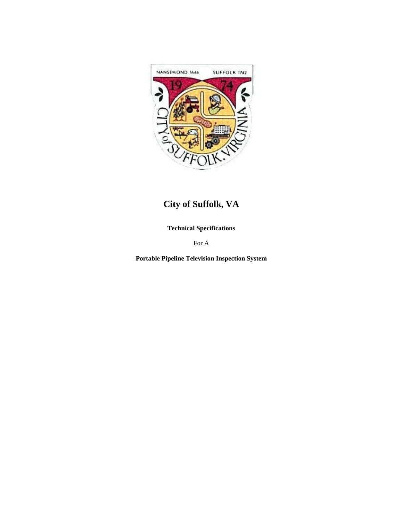

# **City of Suffolk, VA**

**Technical Specifications**

For A

**Portable Pipeline Television Inspection System**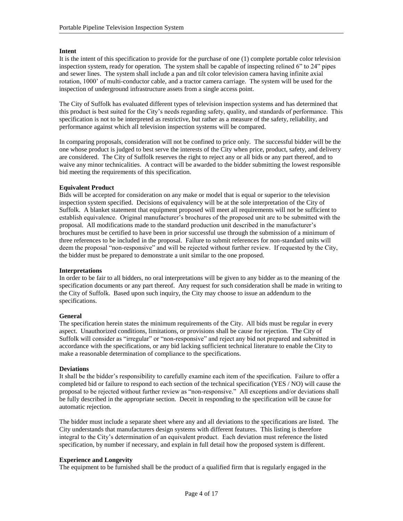### **Intent**

It is the intent of this specification to provide for the purchase of one (1) complete portable color television inspection system, ready for operation. The system shall be capable of inspecting relined 6" to 24" pipes and sewer lines. The system shall include a pan and tilt color television camera having infinite axial rotation, 1000' of multi-conductor cable, and a tractor camera carriage. The system will be used for the inspection of underground infrastructure assets from a single access point.

The City of Suffolk has evaluated different types of television inspection systems and has determined that this product is best suited for the City's needs regarding safety, quality, and standards of performance. This specification is not to be interpreted as restrictive, but rather as a measure of the safety, reliability, and performance against which all television inspection systems will be compared.

In comparing proposals, consideration will not be confined to price only. The successful bidder will be the one whose product is judged to best serve the interests of the City when price, product, safety, and delivery are considered. The City of Suffolk reserves the right to reject any or all bids or any part thereof, and to waive any minor technicalities. A contract will be awarded to the bidder submitting the lowest responsible bid meeting the requirements of this specification.

### **Equivalent Product**

Bids will be accepted for consideration on any make or model that is equal or superior to the television inspection system specified. Decisions of equivalency will be at the sole interpretation of the City of Suffolk. A blanket statement that equipment proposed will meet all requirements will not be sufficient to establish equivalence. Original manufacturer's brochures of the proposed unit are to be submitted with the proposal. All modifications made to the standard production unit described in the manufacturer's brochures must be certified to have been in prior successful use through the submission of a minimum of three references to be included in the proposal. Failure to submit references for non-standard units will deem the proposal "non-responsive" and will be rejected without further review. If requested by the City, the bidder must be prepared to demonstrate a unit similar to the one proposed.

#### **Interpretations**

In order to be fair to all bidders, no oral interpretations will be given to any bidder as to the meaning of the specification documents or any part thereof. Any request for such consideration shall be made in writing to the City of Suffolk. Based upon such inquiry, the City may choose to issue an addendum to the specifications.

### **General**

The specification herein states the minimum requirements of the City. All bids must be regular in every aspect. Unauthorized conditions, limitations, or provisions shall be cause for rejection. The City of Suffolk will consider as "irregular" or "non-responsive" and reject any bid not prepared and submitted in accordance with the specifications, or any bid lacking sufficient technical literature to enable the City to make a reasonable determination of compliance to the specifications.

### **Deviations**

It shall be the bidder's responsibility to carefully examine each item of the specification. Failure to offer a completed bid or failure to respond to each section of the technical specification (YES / NO) will cause the proposal to be rejected without further review as "non-responsive." All exceptions and/or deviations shall be fully described in the appropriate section. Deceit in responding to the specification will be cause for automatic rejection.

The bidder must include a separate sheet where any and all deviations to the specifications are listed. The City understands that manufacturers design systems with different features. This listing is therefore integral to the City's determination of an equivalent product. Each deviation must reference the listed specification, by number if necessary, and explain in full detail how the proposed system is different.

### **Experience and Longevity**

The equipment to be furnished shall be the product of a qualified firm that is regularly engaged in the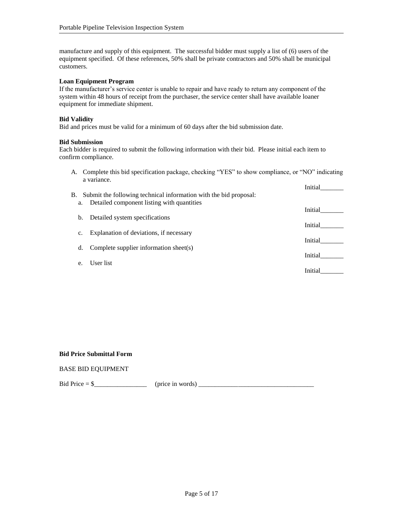manufacture and supply of this equipment. The successful bidder must supply a list of (6) users of the equipment specified. Of these references, 50% shall be private contractors and 50% shall be municipal customers.

### **Loan Equipment Program**

If the manufacturer's service center is unable to repair and have ready to return any component of the system within 48 hours of receipt from the purchaser, the service center shall have available loaner equipment for immediate shipment.

### **Bid Validity**

Bid and prices must be valid for a minimum of 60 days after the bid submission date.

#### **Bid Submission**

Each bidder is required to submit the following information with their bid. Please initial each item to confirm compliance.

A. Complete this bid specification package, checking "YES" to show compliance, or "NO" indicating a variance. Initial\_\_\_\_\_\_\_

| В.    | Submit the following technical information with the bid proposal: | ппиаг   |
|-------|-------------------------------------------------------------------|---------|
| a.    | Detailed component listing with quantities                        | Initial |
| b.    | Detailed system specifications                                    |         |
| c.    | Explanation of deviations, if necessary                           | Initial |
|       |                                                                   | Initial |
| d.    | Complete supplier information sheet(s)                            | Initial |
| $e$ . | User list                                                         |         |
|       |                                                                   | Initial |

#### **Bid Price Submittal Form**

### BASE BID EQUIPMENT

Bid Price = \$\_\_\_\_\_\_\_\_\_\_\_\_\_\_\_\_ (price in words) \_\_\_\_\_\_\_\_\_\_\_\_\_\_\_\_\_\_\_\_\_\_\_\_\_\_\_\_\_\_\_\_\_\_\_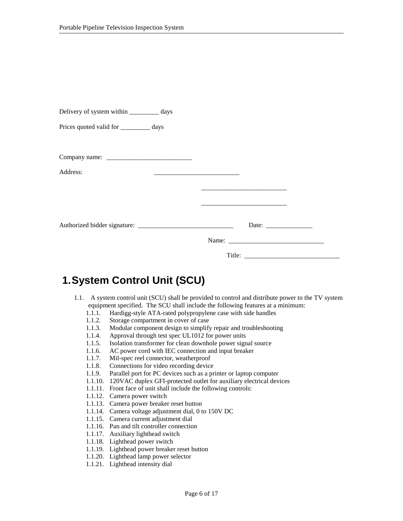| Delivery of system within ____________ days                                                                                                                                                                                                                                                                                                                                                   |  |
|-----------------------------------------------------------------------------------------------------------------------------------------------------------------------------------------------------------------------------------------------------------------------------------------------------------------------------------------------------------------------------------------------|--|
| Prices quoted valid for __________ days                                                                                                                                                                                                                                                                                                                                                       |  |
|                                                                                                                                                                                                                                                                                                                                                                                               |  |
| Company name: $\frac{1}{\sqrt{1-\frac{1}{2}}}\left\{ \frac{1}{2} + \frac{1}{2} + \frac{1}{2} + \frac{1}{2} + \frac{1}{2} + \frac{1}{2} + \frac{1}{2} + \frac{1}{2} + \frac{1}{2} + \frac{1}{2} + \frac{1}{2} + \frac{1}{2} + \frac{1}{2} + \frac{1}{2} + \frac{1}{2} + \frac{1}{2} + \frac{1}{2} + \frac{1}{2} + \frac{1}{2} + \frac{1}{2} + \frac{1}{2} + \frac{1}{2} + \frac{1}{2} + \frac$ |  |
| Address:                                                                                                                                                                                                                                                                                                                                                                                      |  |
|                                                                                                                                                                                                                                                                                                                                                                                               |  |
|                                                                                                                                                                                                                                                                                                                                                                                               |  |
|                                                                                                                                                                                                                                                                                                                                                                                               |  |
|                                                                                                                                                                                                                                                                                                                                                                                               |  |
|                                                                                                                                                                                                                                                                                                                                                                                               |  |

# **1.System Control Unit (SCU)**

- 1.1. A system control unit (SCU) shall be provided to control and distribute power to the TV system equipment specified. The SCU shall include the following features at a minimum:
	- 1.1.1. Hardigg-style ATA-rated polypropylene case with side handles
	- 1.1.2. Storage compartment in cover of case
	- 1.1.3. Modular component design to simplify repair and troubleshooting
	- 1.1.4. Approval through test spec UL1012 for power units
	- 1.1.5. Isolation transformer for clean downhole power signal source
	- 1.1.6. AC power cord with IEC connection and input breaker
	- 1.1.7. Mil-spec reel connector, weatherproof
	- 1.1.8. Connections for video recording device
	- 1.1.9. Parallel port for PC devices such as a printer or laptop computer
	- 1.1.10. 120VAC duplex GFI-protected outlet for auxiliary electrical devices
	- 1.1.11. Front face of unit shall include the following controls:
	- 1.1.12. Camera power switch
	- 1.1.13. Camera power breaker reset button
	- 1.1.14. Camera voltage adjustment dial, 0 to 150V DC
	- 1.1.15. Camera current adjustment dial
	- 1.1.16. Pan and tilt controller connection
	- 1.1.17. Auxiliary lighthead switch
	- 1.1.18. Lighthead power switch
	- 1.1.19. Lighthead power breaker reset button
	- 1.1.20. Lighthead lamp power selector
	- 1.1.21. Lighthead intensity dial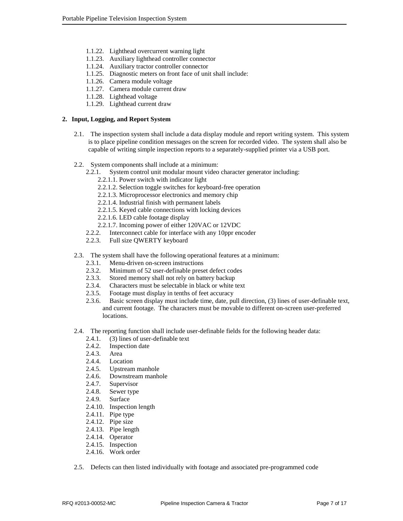- 1.1.22. Lighthead overcurrent warning light
- 1.1.23. Auxiliary lighthead controller connector
- 1.1.24. Auxiliary tractor controller connector
- 1.1.25. Diagnostic meters on front face of unit shall include:
- 1.1.26. Camera module voltage
- 1.1.27. Camera module current draw
- 1.1.28. Lighthead voltage
- 1.1.29. Lighthead current draw

#### **2. Input, Logging, and Report System**

- 2.1. The inspection system shall include a data display module and report writing system. This system is to place pipeline condition messages on the screen for recorded video. The system shall also be capable of writing simple inspection reports to a separately-supplied printer via a USB port.
- 2.2. System components shall include at a minimum:
	- 2.2.1. System control unit modular mount video character generator including:
		- 2.2.1.1. Power switch with indicator light
		- 2.2.1.2. Selection toggle switches for keyboard-free operation
		- 2.2.1.3. Microprocessor electronics and memory chip
		- 2.2.1.4. Industrial finish with permanent labels
		- 2.2.1.5. Keyed cable connections with locking devices
		- 2.2.1.6. LED cable footage display
		- 2.2.1.7. Incoming power of either 120VAC or 12VDC
	- 2.2.2. Interconnect cable for interface with any 10ppr encoder
	- 2.2.3. Full size QWERTY keyboard
- 2.3. The system shall have the following operational features at a minimum:
	- 2.3.1. Menu-driven on-screen instructions
	- 2.3.2. Minimum of 52 user-definable preset defect codes
	- 2.3.3. Stored memory shall not rely on battery backup
	- 2.3.4. Characters must be selectable in black or white text
	- 2.3.5. Footage must display in tenths of feet accuracy
	- 2.3.6. Basic screen display must include time, date, pull direction, (3) lines of user-definable text, and current footage. The characters must be movable to different on-screen user-preferred locations.
- 2.4. The reporting function shall include user-definable fields for the following header data:
	- 2.4.1. (3) lines of user-definable text
	- 2.4.2. Inspection date
	- 2.4.3. Area
	- 2.4.4. Location
	- 2.4.5. Upstream manhole
	- 2.4.6. Downstream manhole
	- 2.4.7. Supervisor
	- 2.4.8. Sewer type
	- 2.4.9. Surface
	- 2.4.10. Inspection length
	- 2.4.11. Pipe type
	- 2.4.12. Pipe size
	- 2.4.13. Pipe length
	- 2.4.14. Operator
	- 2.4.15. Inspection
	- 2.4.16. Work order
- 2.5. Defects can then listed individually with footage and associated pre-programmed code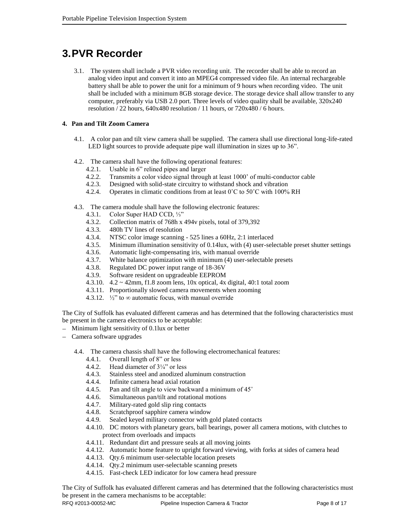# **3.PVR Recorder**

3.1. The system shall include a PVR video recording unit. The recorder shall be able to record an analog video input and convert it into an MPEG4 compressed video file. An internal rechargeable battery shall be able to power the unit for a minimum of 9 hours when recording video. The unit shall be included with a minimum 8GB storage device. The storage device shall allow transfer to any computer, preferably via USB 2.0 port. Three levels of video quality shall be available, 320x240 resolution / 22 hours, 640x480 resolution / 11 hours, or 720x480 / 6 hours.

### **4. Pan and Tilt Zoom Camera**

- 4.1. A color pan and tilt view camera shall be supplied. The camera shall use directional long-life-rated LED light sources to provide adequate pipe wall illumination in sizes up to 36".
- 4.2. The camera shall have the following operational features:
	- 4.2.1. Usable in 6" relined pipes and larger
	- 4.2.2. Transmits a color video signal through at least 1000' of multi-conductor cable
	- 4.2.3. Designed with solid-state circuitry to withstand shock and vibration
	- 4.2.4. Operates in climatic conditions from at least 0°C to 50°C with 100% RH
- 4.3. The camera module shall have the following electronic features:
	- 4.3.1. Color Super HAD CCD, ⅓"
	- 4.3.2. Collection matrix of 768h x 494v pixels, total of 379,392
	- 4.3.3. 480h TV lines of resolution
	- 4.3.4. NTSC color image scanning 525 lines a 60Hz, 2:1 interlaced
	- 4.3.5. Minimum illumination sensitivity of 0.14lux, with (4) user-selectable preset shutter settings
	- 4.3.6. Automatic light-compensating iris, with manual override
	- 4.3.7. White balance optimization with minimum (4) user-selectable presets
	- 4.3.8. Regulated DC power input range of 18-36V
	- 4.3.9. Software resident on upgradeable EEPROM
	- 4.3.10. 4.2 ~ 42mm, f1.8 zoom lens, 10x optical, 4x digital, 40:1 total zoom
	- 4.3.11. Proportionally slowed camera movements when zooming
	- 4.3.12.  $\frac{1}{2}$  to  $\infty$  automatic focus, with manual override

The City of Suffolk has evaluated different cameras and has determined that the following characteristics must be present in the camera electronics to be acceptable:

- Minimum light sensitivity of 0.1lux or better
- Camera software upgrades
	- 4.4. The camera chassis shall have the following electromechanical features:
		- 4.4.1. Overall length of 8" or less
		- 4.4.2. Head diameter of 3¼" or less
		- 4.4.3. Stainless steel and anodized aluminum construction
		- 4.4.4. Infinite camera head axial rotation
		- 4.4.5. Pan and tilt angle to view backward a minimum of 45˚
		- 4.4.6. Simultaneous pan/tilt and rotational motions
		- 4.4.7. Military-rated gold slip ring contacts
		- 4.4.8. Scratchproof sapphire camera window
		- 4.4.9. Sealed keyed military connector with gold plated contacts
		- 4.4.10. DC motors with planetary gears, ball bearings, power all camera motions, with clutches to protect from overloads and impacts
		- 4.4.11. Redundant dirt and pressure seals at all moving joints
		- 4.4.12. Automatic home feature to upright forward viewing, with forks at sides of camera head
		- 4.4.13. Qty.6 minimum user-selectable location presets
		- 4.4.14. Qty.2 minimum user-selectable scanning presets
		- 4.4.15. Fast-check LED indicator for low camera head pressure

The City of Suffolk has evaluated different cameras and has determined that the following characteristics must be present in the camera mechanisms to be acceptable: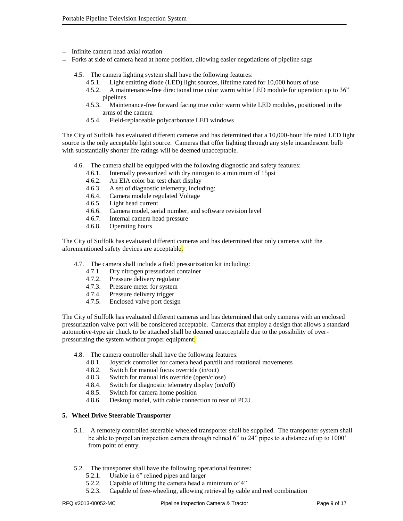- Infinite camera head axial rotation
- Forks at side of camera head at home position, allowing easier negotiations of pipeline sags  $\overline{\phantom{0}}$ 
	- 4.5. The camera lighting system shall have the following features:
		- 4.5.1. Light emitting diode (LED) light sources, lifetime rated for 10,000 hours of use
		- 4.5.2. A maintenance-free directional true color warm white LED module for operation up to 36" pipelines
		- 4.5.3. Maintenance-free forward facing true color warm white LED modules, positioned in the arms of the camera
		- 4.5.4. Field-replaceable polycarbonate LED windows

The City of Suffolk has evaluated different cameras and has determined that a 10,000-hour life rated LED light source is the only acceptable light source. Cameras that offer lighting through any style incandescent bulb with substantially shorter life ratings will be deemed unacceptable.

- 4.6. The camera shall be equipped with the following diagnostic and safety features:
	- 4.6.1. Internally pressurized with dry nitrogen to a minimum of 15psi
	- 4.6.2. An EIA color bar test chart display
	- 4.6.3. A set of diagnostic telemetry, including:
	- 4.6.4. Camera module regulated Voltage
	- 4.6.5. Light head current
	- 4.6.6. Camera model, serial number, and software revision level
	- 4.6.7. Internal camera head pressure
	- 4.6.8. Operating hours

The City of Suffolk has evaluated different cameras and has determined that only cameras with the aforementioned safety devices are acceptable.

- 4.7. The camera shall include a field pressurization kit including:
	- 4.7.1. Dry nitrogen pressurized container
	- 4.7.2. Pressure delivery regulator
	- 4.7.3. Pressure meter for system
	- 4.7.4. Pressure delivery trigger
	- 4.7.5. Enclosed valve port design

The City of Suffolk has evaluated different cameras and has determined that only cameras with an enclosed pressurization valve port will be considered acceptable. Cameras that employ a design that allows a standard automotive-type air chuck to be attached shall be deemed unacceptable due to the possibility of overpressurizing the system without proper equipment.

- 4.8. The camera controller shall have the following features:
	- 4.8.1. Joystick controller for camera head pan/tilt and rotational movements
	- 4.8.2. Switch for manual focus override (in/out)
	- 4.8.3. Switch for manual iris override (open/close)
	- 4.8.4. Switch for diagnostic telemetry display (on/off)
	- 4.8.5. Switch for camera home position
	- 4.8.6. Desktop model, with cable connection to rear of PCU

#### **5. Wheel Drive Steerable Transporter**

- 5.1. A remotely controlled steerable wheeled transporter shall be supplied. The transporter system shall be able to propel an inspection camera through relined 6" to 24" pipes to a distance of up to 1000' from point of entry.
- 5.2. The transporter shall have the following operational features:
	- 5.2.1. Usable in 6" relined pipes and larger
	- 5.2.2. Capable of lifting the camera head a minimum of 4"
	- 5.2.3. Capable of free-wheeling, allowing retrieval by cable and reel combination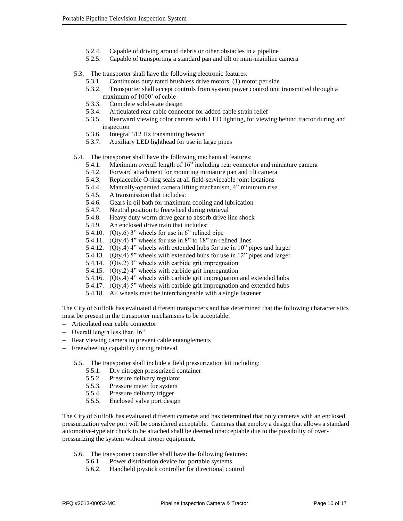- 5.2.4. Capable of driving around debris or other obstacles in a pipeline
- 5.2.5. Capable of transporting a standard pan and tilt or mini-mainline camera

### 5.3. The transporter shall have the following electronic features:

- 5.3.1. Continuous duty rated brushless drive motors, (1) motor per side
- 5.3.2. Transporter shall accept controls from system power control unit transmitted through a maximum of 1000' of cable
- 5.3.3. Complete solid-state design
- 5.3.4. Articulated rear cable connector for added cable strain relief
- 5.3.5. Rearward viewing color camera with LED lighting, for viewing behind tractor during and inspection
- 5.3.6. Integral 512 Hz transmitting beacon
- 5.3.7. Auxiliary LED lighthead for use in large pipes

### 5.4. The transporter shall have the following mechanical features:

- 5.4.1. Maximum overall length of 16" including rear connector and miniature camera
- 5.4.2. Forward attachment for mounting miniature pan and tilt camera
- 5.4.3. Replaceable O-ring seals at all field-serviceable joint locations
- 5.4.4. Manually-operated camera lifting mechanism, 4" minimum rise
- 5.4.5. A transmission that includes:
- 5.4.6. Gears in oil bath for maximum cooling and lubrication
- 5.4.7. Neutral position to freewheel during retrieval
- 5.4.8. Heavy duty worm drive gear to absorb drive line shock
- 5.4.9. An enclosed drive train that includes:
- 5.4.10. (Qty.6) 3" wheels for use in 6" relined pipe
- 5.4.11. (Qty.4) 4" wheels for use in 8" to 18" un-relined lines
- 5.4.12. (Qty.4) 4" wheels with extended hubs for use in 10" pipes and larger
- 5.4.13. (Qty.4) 5" wheels with extended hubs for use in 12" pipes and larger
- 5.4.14. (Qty.2) 3" wheels with carbide grit impregnation
- 5.4.15. (Qty.2) 4" wheels with carbide grit impregnation
- 5.4.16. (Qty.4) 4" wheels with carbide grit impregnation and extended hubs
- 5.4.17. (Qty.4) 5" wheels with carbide grit impregnation and extended hubs
- 5.4.18. All wheels must be interchangeable with a single fastener

The City of Suffolk has evaluated different transporters and has determined that the following characteristics must be present in the transporter mechanisms to be acceptable:

- Articulated rear cable connector  $\overline{\phantom{0}}$
- Overall length less than  $16$ "
- Rear viewing camera to prevent cable entanglements
- Freewheeling capability during retrieval
	- 5.5. The transporter shall include a field pressurization kit including:
		- 5.5.1. Dry nitrogen pressurized container
		- 5.5.2. Pressure delivery regulator
		- 5.5.3. Pressure meter for system
		- 5.5.4. Pressure delivery trigger
		- 5.5.5. Enclosed valve port design

The City of Suffolk has evaluated different cameras and has determined that only cameras with an enclosed pressurization valve port will be considered acceptable. Cameras that employ a design that allows a standard automotive-type air chuck to be attached shall be deemed unacceptable due to the possibility of overpressurizing the system without proper equipment.

- 5.6. The transporter controller shall have the following features:
	- 5.6.1. Power distribution device for portable systems
	- 5.6.2. Handheld joystick controller for directional control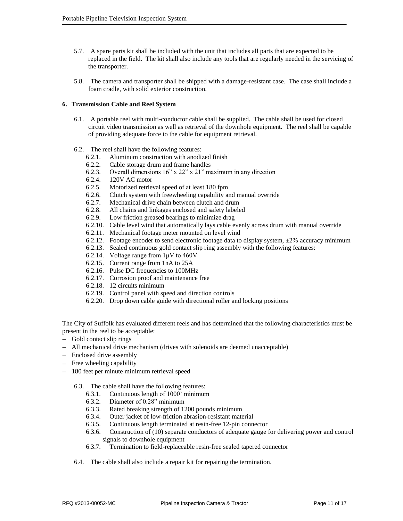- 5.7. A spare parts kit shall be included with the unit that includes all parts that are expected to be replaced in the field. The kit shall also include any tools that are regularly needed in the servicing of the transporter.
- 5.8. The camera and transporter shall be shipped with a damage-resistant case. The case shall include a foam cradle, with solid exterior construction.

### **6. Transmission Cable and Reel System**

- 6.1. A portable reel with multi-conductor cable shall be supplied. The cable shall be used for closed circuit video transmission as well as retrieval of the downhole equipment. The reel shall be capable of providing adequate force to the cable for equipment retrieval.
- 6.2. The reel shall have the following features:
	- 6.2.1. Aluminum construction with anodized finish
	- 6.2.2. Cable storage drum and frame handles
	- 6.2.3. Overall dimensions 16" x 22" x 21" maximum in any direction
	- 6.2.4. 120V AC motor
	- 6.2.5. Motorized retrieval speed of at least 180 fpm
	- 6.2.6. Clutch system with freewheeling capability and manual override
	- 6.2.7. Mechanical drive chain between clutch and drum
	- 6.2.8. All chains and linkages enclosed and safety labeled
	- 6.2.9. Low friction greased bearings to minimize drag
	- 6.2.10. Cable level wind that automatically lays cable evenly across drum with manual override
	- 6.2.11. Mechanical footage meter mounted on level wind
	- 6.2.12. Footage encoder to send electronic footage data to display system,  $\pm 2\%$  accuracy minimum
	- 6.2.13. Sealed continuous gold contact slip ring assembly with the following features:
	- 6.2.14. Voltage range from 1μV to 460V
	- 6.2.15. Current range from 1nA to 25A
	- 6.2.16. Pulse DC frequencies to 100MHz
	- 6.2.17. Corrosion proof and maintenance free
	- 6.2.18. 12 circuits minimum
	- 6.2.19. Control panel with speed and direction controls
	- 6.2.20. Drop down cable guide with directional roller and locking positions

The City of Suffolk has evaluated different reels and has determined that the following characteristics must be present in the reel to be acceptable:

- Gold contact slip rings
- All mechanical drive mechanism (drives with solenoids are deemed unacceptable)
- Enclosed drive assembly
- Free wheeling capability
- 180 feet per minute minimum retrieval speed
	- 6.3. The cable shall have the following features:
		- 6.3.1. Continuous length of 1000' minimum
		- 6.3.2. Diameter of 0.28" minimum
		- 6.3.3. Rated breaking strength of 1200 pounds minimum
		- 6.3.4. Outer jacket of low-friction abrasion-resistant material
		- 6.3.5. Continuous length terminated at resin-free 12-pin connector
		- 6.3.6. Construction of (10) separate conductors of adequate gauge for delivering power and control signals to downhole equipment
		- 6.3.7. Termination to field-replaceable resin-free sealed tapered connector
	- 6.4. The cable shall also include a repair kit for repairing the termination.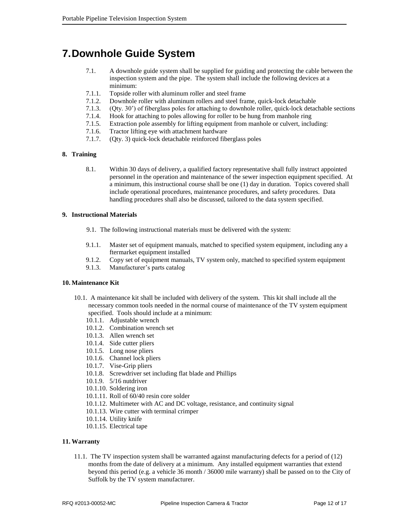# **7.Downhole Guide System**

- 7.1. A downhole guide system shall be supplied for guiding and protecting the cable between the inspection system and the pipe. The system shall include the following devices at a minimum:
- 7.1.1. Topside roller with aluminum roller and steel frame
- 7.1.2. Downhole roller with aluminum rollers and steel frame, quick-lock detachable
- 7.1.3. (Qty. 30') of fiberglass poles for attaching to downhole roller, quick-lock detachable sections
- 7.1.4. Hook for attaching to poles allowing for roller to be hung from manhole ring
- 7.1.5. Extraction pole assembly for lifting equipment from manhole or culvert, including:
- 7.1.6. Tractor lifting eye with attachment hardware
- 7.1.7. (Qty. 3) quick-lock detachable reinforced fiberglass poles

### **8. Training**

8.1. Within 30 days of delivery, a qualified factory representative shall fully instruct appointed personnel in the operation and maintenance of the sewer inspection equipment specified. At a minimum, this instructional course shall be one (1) day in duration. Topics covered shall include operational procedures, maintenance procedures, and safety procedures. Data handling procedures shall also be discussed, tailored to the data system specified.

### **9. Instructional Materials**

- 9.1. The following instructional materials must be delivered with the system:
- 9.1.1. Master set of equipment manuals, matched to specified system equipment, including any a ftermarket equipment installed
- 9.1.2. Copy set of equipment manuals, TV system only, matched to specified system equipment
- 9.1.3. Manufacturer's parts catalog

#### **10. Maintenance Kit**

- 10.1. A maintenance kit shall be included with delivery of the system. This kit shall include all the necessary common tools needed in the normal course of maintenance of the TV system equipment specified. Tools should include at a minimum:
	- 10.1.1. Adjustable wrench
	- 10.1.2. Combination wrench set
	- 10.1.3. Allen wrench set
	- 10.1.4. Side cutter pliers
	- 10.1.5. Long nose pliers
	- 10.1.6. Channel lock pliers
	- 10.1.7. Vise-Grip pliers
	- 10.1.8. Screwdriver set including flat blade and Phillips
	- 10.1.9. 5/16 nutdriver
	- 10.1.10. Soldering iron
	- 10.1.11. Roll of 60/40 resin core solder
	- 10.1.12. Multimeter with AC and DC voltage, resistance, and continuity signal
	- 10.1.13. Wire cutter with terminal crimper
	- 10.1.14. Utility knife
	- 10.1.15. Electrical tape

### **11. Warranty**

11.1. The TV inspection system shall be warranted against manufacturing defects for a period of (12) months from the date of delivery at a minimum. Any installed equipment warranties that extend beyond this period (e.g. a vehicle 36 month / 36000 mile warranty) shall be passed on to the City of Suffolk by the TV system manufacturer.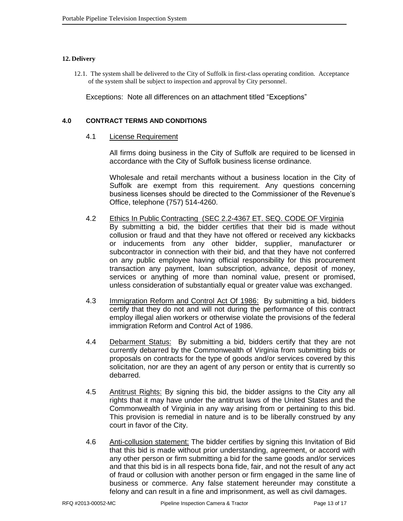### **12. Delivery**

12.1. The system shall be delivered to the City of Suffolk in first-class operating condition. Acceptance of the system shall be subject to inspection and approval by City personnel.

Exceptions: Note all differences on an attachment titled "Exceptions"

### **4.0 CONTRACT TERMS AND CONDITIONS**

### 4.1 License Requirement

All firms doing business in the City of Suffolk are required to be licensed in accordance with the City of Suffolk business license ordinance.

Wholesale and retail merchants without a business location in the City of Suffolk are exempt from this requirement. Any questions concerning business licenses should be directed to the Commissioner of the Revenue's Office, telephone (757) 514-4260.

- 4.2 Ethics In Public Contracting (SEC 2.2-4367 ET. SEQ. CODE OF Virginia By submitting a bid, the bidder certifies that their bid is made without collusion or fraud and that they have not offered or received any kickbacks or inducements from any other bidder, supplier, manufacturer or subcontractor in connection with their bid, and that they have not conferred on any public employee having official responsibility for this procurement transaction any payment, loan subscription, advance, deposit of money, services or anything of more than nominal value, present or promised, unless consideration of substantially equal or greater value was exchanged.
- 4.3 Immigration Reform and Control Act Of 1986: By submitting a bid, bidders certify that they do not and will not during the performance of this contract employ illegal alien workers or otherwise violate the provisions of the federal immigration Reform and Control Act of 1986.
- 4.4 Debarment Status: By submitting a bid, bidders certify that they are not currently debarred by the Commonwealth of Virginia from submitting bids or proposals on contracts for the type of goods and/or services covered by this solicitation, nor are they an agent of any person or entity that is currently so debarred.
- 4.5 Antitrust Rights: By signing this bid, the bidder assigns to the City any all rights that it may have under the antitrust laws of the United States and the Commonwealth of Virginia in any way arising from or pertaining to this bid. This provision is remedial in nature and is to be liberally construed by any court in favor of the City.
- 4.6 Anti-collusion statement: The bidder certifies by signing this Invitation of Bid that this bid is made without prior understanding, agreement, or accord with any other person or firm submitting a bid for the same goods and/or services and that this bid is in all respects bona fide, fair, and not the result of any act of fraud or collusion with another person or firm engaged in the same line of business or commerce. Any false statement hereunder may constitute a felony and can result in a fine and imprisonment, as well as civil damages.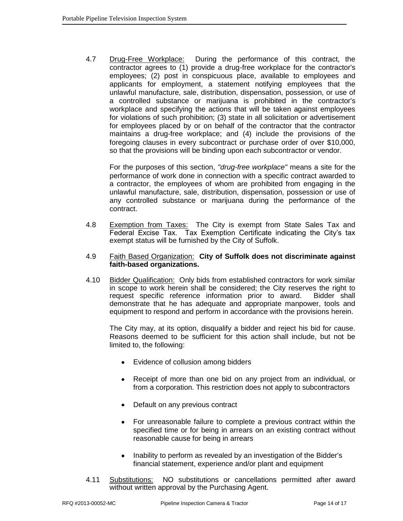4.7 Drug-Free Workplace: During the performance of this contract, the contractor agrees to (1) provide a drug-free workplace for the contractor's employees; (2) post in conspicuous place, available to employees and applicants for employment, a statement notifying employees that the unlawful manufacture, sale, distribution, dispensation, possession, or use of a controlled substance or marijuana is prohibited in the contractor's workplace and specifying the actions that will be taken against employees for violations of such prohibition; (3) state in all solicitation or advertisement for employees placed by or on behalf of the contractor that the contractor maintains a drug-free workplace; and (4) include the provisions of the foregoing clauses in every subcontract or purchase order of over \$10,000, so that the provisions will be binding upon each subcontractor or vendor.

For the purposes of this section, *"drug-free workplace"* means a site for the performance of work done in connection with a specific contract awarded to a contractor, the employees of whom are prohibited from engaging in the unlawful manufacture, sale, distribution, dispensation, possession or use of any controlled substance or marijuana during the performance of the contract.

4.8 Exemption from Taxes: The City is exempt from State Sales Tax and Federal Excise Tax. Tax Exemption Certificate indicating the City's tax exempt status will be furnished by the City of Suffolk.

### 4.9 Faith Based Organization: **City of Suffolk does not discriminate against faith-based organizations.**

4.10 Bidder Qualification: Only bids from established contractors for work similar in scope to work herein shall be considered; the City reserves the right to request specific reference information prior to award. Bidder shall demonstrate that he has adequate and appropriate manpower, tools and equipment to respond and perform in accordance with the provisions herein.

The City may, at its option, disqualify a bidder and reject his bid for cause. Reasons deemed to be sufficient for this action shall include, but not be limited to, the following:

- Evidence of collusion among bidders
- Receipt of more than one bid on any project from an individual, or  $\bullet$ from a corporation. This restriction does not apply to subcontractors
- Default on any previous contract
- For unreasonable failure to complete a previous contract within the specified time or for being in arrears on an existing contract without reasonable cause for being in arrears
- Inability to perform as revealed by an investigation of the Bidder's  $\bullet$ financial statement, experience and/or plant and equipment
- 4.11 Substitutions: NO substitutions or cancellations permitted after award without written approval by the Purchasing Agent.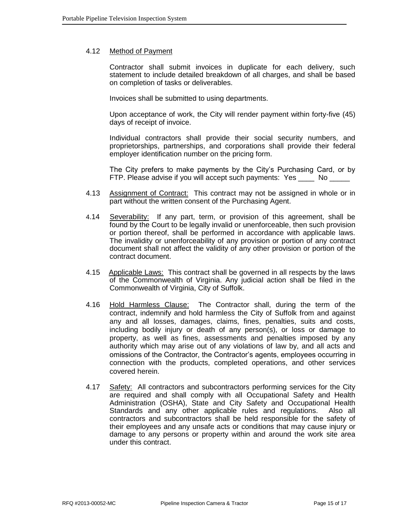## 4.12 Method of Payment

Contractor shall submit invoices in duplicate for each delivery, such statement to include detailed breakdown of all charges, and shall be based on completion of tasks or deliverables.

Invoices shall be submitted to using departments.

Upon acceptance of work, the City will render payment within forty-five (45) days of receipt of invoice.

Individual contractors shall provide their social security numbers, and proprietorships, partnerships, and corporations shall provide their federal employer identification number on the pricing form.

The City prefers to make payments by the City's Purchasing Card, or by FTP. Please advise if you will accept such payments: Yes No

- 4.13 Assignment of Contract: This contract may not be assigned in whole or in part without the written consent of the Purchasing Agent.
- 4.14 Severability: If any part, term, or provision of this agreement, shall be found by the Court to be legally invalid or unenforceable, then such provision or portion thereof, shall be performed in accordance with applicable laws. The invalidity or unenforceability of any provision or portion of any contract document shall not affect the validity of any other provision or portion of the contract document.
- 4.15 Applicable Laws: This contract shall be governed in all respects by the laws of the Commonwealth of Virginia. Any judicial action shall be filed in the Commonwealth of Virginia, City of Suffolk.
- 4.16 Hold Harmless Clause: The Contractor shall, during the term of the contract, indemnify and hold harmless the City of Suffolk from and against any and all losses, damages, claims, fines, penalties, suits and costs, including bodily injury or death of any person(s), or loss or damage to property, as well as fines, assessments and penalties imposed by any authority which may arise out of any violations of law by, and all acts and omissions of the Contractor, the Contractor's agents, employees occurring in connection with the products, completed operations, and other services covered herein.
- 4.17 Safety: All contractors and subcontractors performing services for the City are required and shall comply with all Occupational Safety and Health Administration (OSHA), State and City Safety and Occupational Health Standards and any other applicable rules and regulations. Also all contractors and subcontractors shall be held responsible for the safety of their employees and any unsafe acts or conditions that may cause injury or damage to any persons or property within and around the work site area under this contract.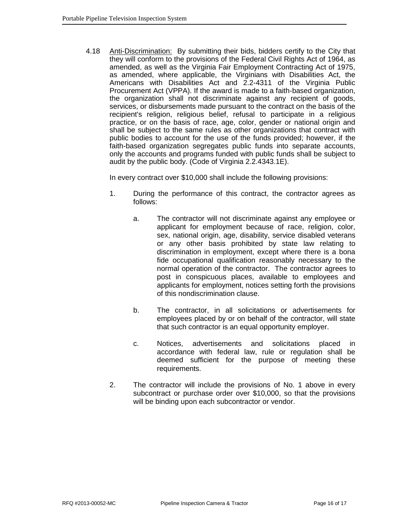4.18 Anti-Discrimination: By submitting their bids, bidders certify to the City that they will conform to the provisions of the Federal Civil Rights Act of 1964, as amended, as well as the Virginia Fair Employment Contracting Act of 1975, as amended, where applicable, the Virginians with Disabilities Act, the Americans with Disabilities Act and 2.2-4311 of the Virginia Public Procurement Act (VPPA). If the award is made to a faith-based organization, the organization shall not discriminate against any recipient of goods, services, or disbursements made pursuant to the contract on the basis of the recipient's religion, religious belief, refusal to participate in a religious practice, or on the basis of race, age, color, gender or national origin and shall be subject to the same rules as other organizations that contract with public bodies to account for the use of the funds provided; however, if the faith-based organization segregates public funds into separate accounts, only the accounts and programs funded with public funds shall be subject to audit by the public body. (Code of Virginia 2.2.4343.1E).

In every contract over \$10,000 shall include the following provisions:

- 1. During the performance of this contract, the contractor agrees as follows:
	- a. The contractor will not discriminate against any employee or applicant for employment because of race, religion, color, sex, national origin, age, disability, service disabled veterans or any other basis prohibited by state law relating to discrimination in employment, except where there is a bona fide occupational qualification reasonably necessary to the normal operation of the contractor. The contractor agrees to post in conspicuous places, available to employees and applicants for employment, notices setting forth the provisions of this nondiscrimination clause.
	- b. The contractor, in all solicitations or advertisements for employees placed by or on behalf of the contractor, will state that such contractor is an equal opportunity employer.
	- c. Notices, advertisements and solicitations placed in accordance with federal law, rule or regulation shall be deemed sufficient for the purpose of meeting these requirements.
- 2. The contractor will include the provisions of No. 1 above in every subcontract or purchase order over \$10,000, so that the provisions will be binding upon each subcontractor or vendor.